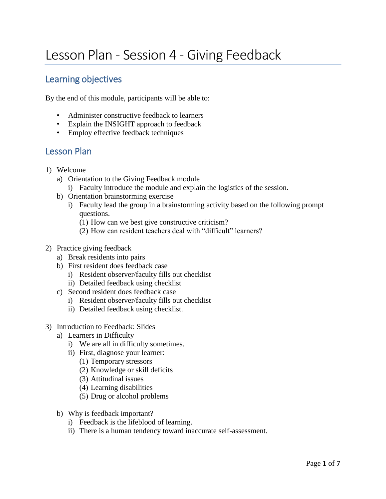# Lesson Plan - Session 4 - Giving Feedback

## Learning objectives

By the end of this module, participants will be able to:

- Administer constructive feedback to learners
- Explain the INSIGHT approach to feedback
- Employ effective feedback techniques

### Lesson Plan

- 1) Welcome
	- a) Orientation to the Giving Feedback module
		- i) Faculty introduce the module and explain the logistics of the session.
	- b) Orientation brainstorming exercise
		- i) Faculty lead the group in a brainstorming activity based on the following prompt questions.
			- (1) How can we best give constructive criticism?
			- (2) How can resident teachers deal with "difficult" learners?
- 2) Practice giving feedback
	- a) Break residents into pairs
	- b) First resident does feedback case
		- i) Resident observer/faculty fills out checklist
		- ii) Detailed feedback using checklist
	- c) Second resident does feedback case
		- i) Resident observer/faculty fills out checklist
		- ii) Detailed feedback using checklist.
- 3) Introduction to Feedback: Slides
	- a) Learners in Difficulty
		- i) We are all in difficulty sometimes.
		- ii) First, diagnose your learner:
			- (1) Temporary stressors
			- (2) Knowledge or skill deficits
			- (3) Attitudinal issues
			- (4) Learning disabilities
			- (5) Drug or alcohol problems
	- b) Why is feedback important?
		- i) Feedback is the lifeblood of learning.
		- ii) There is a human tendency toward inaccurate self-assessment.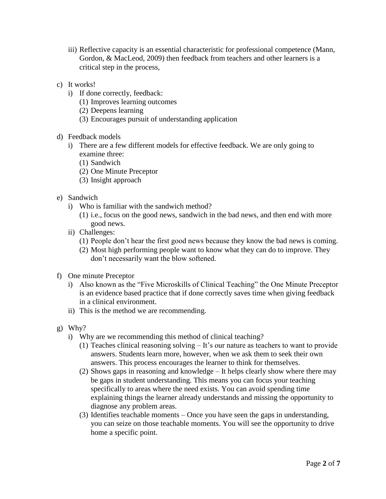- iii) Reflective capacity is an essential characteristic for professional competence (Mann, Gordon, & MacLeod, 2009) then feedback from teachers and other learners is a critical step in the process,
- c) It works!
	- i) If done correctly, feedback:
		- (1) Improves learning outcomes
		- (2) Deepens learning
		- (3) Encourages pursuit of understanding application
- d) Feedback models
	- i) There are a few different models for effective feedback. We are only going to examine three:
		- (1) Sandwich
		- (2) One Minute Preceptor
		- (3) Insight approach
- e) Sandwich
	- i) Who is familiar with the sandwich method?
		- (1) i.e., focus on the good news, sandwich in the bad news, and then end with more good news.
	- ii) Challenges:
		- (1) People don't hear the first good news because they know the bad news is coming.
		- (2) Most high performing people want to know what they can do to improve. They don't necessarily want the blow softened.
- f) One minute Preceptor
	- i) Also known as the "Five Microskills of Clinical Teaching" the One Minute Preceptor is an evidence based practice that if done correctly saves time when giving feedback in a clinical environment.
	- ii) This is the method we are recommending.
- g) Why?
	- i) Why are we recommending this method of clinical teaching?
		- (1) Teaches clinical reasoning solving It's our nature as teachers to want to provide answers. Students learn more, however, when we ask them to seek their own answers. This process encourages the learner to think for themselves.
		- (2) Shows gaps in reasoning and knowledge It helps clearly show where there may be gaps in student understanding. This means you can focus your teaching specifically to areas where the need exists. You can avoid spending time explaining things the learner already understands and missing the opportunity to diagnose any problem areas.
		- (3) Identifies teachable moments Once you have seen the gaps in understanding, you can seize on those teachable moments. You will see the opportunity to drive home a specific point.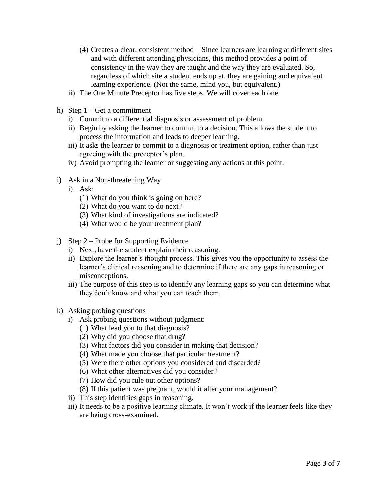- (4) Creates a clear, consistent method Since learners are learning at different sites and with different attending physicians, this method provides a point of consistency in the way they are taught and the way they are evaluated. So, regardless of which site a student ends up at, they are gaining and equivalent learning experience. (Not the same, mind you, but equivalent.)
- ii) The One Minute Preceptor has five steps. We will cover each one.
- h) Step 1 Get a commitment
	- i) Commit to a differential diagnosis or assessment of problem.
	- ii) Begin by asking the learner to commit to a decision. This allows the student to process the information and leads to deeper learning.
	- iii) It asks the learner to commit to a diagnosis or treatment option, rather than just agreeing with the preceptor's plan.
	- iv) Avoid prompting the learner or suggesting any actions at this point.
- i) Ask in a Non-threatening Way
	- i) Ask:
		- (1) What do you think is going on here?
		- (2) What do you want to do next?
		- (3) What kind of investigations are indicated?
		- (4) What would be your treatment plan?
- j) Step 2 Probe for Supporting Evidence
	- i) Next, have the student explain their reasoning.
	- ii) Explore the learner's thought process. This gives you the opportunity to assess the learner's clinical reasoning and to determine if there are any gaps in reasoning or misconceptions.
	- iii) The purpose of this step is to identify any learning gaps so you can determine what they don't know and what you can teach them.
- k) Asking probing questions
	- i) Ask probing questions without judgment:
		- (1) What lead you to that diagnosis?
		- (2) Why did you choose that drug?
		- (3) What factors did you consider in making that decision?
		- (4) What made you choose that particular treatment?
		- (5) Were there other options you considered and discarded?
		- (6) What other alternatives did you consider?
		- (7) How did you rule out other options?
		- (8) If this patient was pregnant, would it alter your management?
	- ii) This step identifies gaps in reasoning.
	- iii) It needs to be a positive learning climate. It won't work if the learner feels like they are being cross-examined.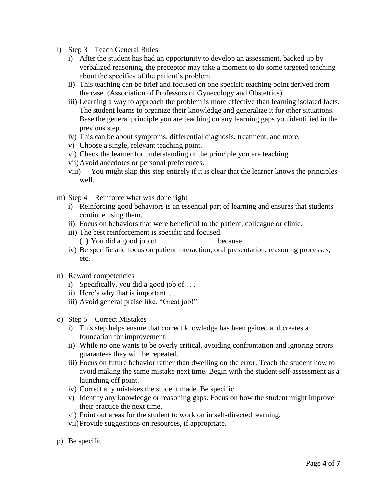- l) Step 3 Teach General Rules
	- i) After the student has had an opportunity to develop an assessment, backed up by verbalized reasoning, the preceptor may take a moment to do some targeted teaching about the specifics of the patient's problem.
	- ii) This teaching can be brief and focused on one specific teaching point derived from the case. (Association of Professors of Gynecology and Obstetrics)
	- iii) Learning a way to approach the problem is more effective than learning isolated facts. The student learns to organize their knowledge and generalize it for other situations. Base the general principle you are teaching on any learning gaps you identified in the previous step.
	- iv) This can be about symptoms, differential diagnosis, treatment, and more.
	- v) Choose a single, relevant teaching point.
	- vi) Check the learner for understanding of the principle you are teaching.
	- vii)Avoid anecdotes or personal preferences.
	- viii) You might skip this step entirely if it is clear that the learner knows the principles well.
- m) Step 4 Reinforce what was done right
	- i) Reinforcing good behaviors is an essential part of learning and ensures that students continue using them.
	- ii) Focus on behaviors that were beneficial to the patient, colleague or clinic.
	- iii) The best reinforcement is specific and focused. (1) You did a good job of  $\qquad \qquad$  because
	- iv) Be specific and focus on patient interaction, oral presentation, reasoning processes, etc.
- n) Reward competencies
	- i) Specifically, you did a good job of . . .
	- ii) Here's why that is important. . .
	- iii) Avoid general praise like, "Great job!"
- o) Step 5 Correct Mistakes
	- i) This step helps ensure that correct knowledge has been gained and creates a foundation for improvement.
	- ii) While no one wants to be overly critical, avoiding confrontation and ignoring errors guarantees they will be repeated.
	- iii) Focus on future behavior rather than dwelling on the error. Teach the student how to avoid making the same mistake next time. Begin with the student self-assessment as a launching off point.
	- iv) Correct any mistakes the student made. Be specific.
	- v) Identify any knowledge or reasoning gaps. Focus on how the student might improve their practice the next time.
	- vi) Point out areas for the student to work on in self-directed learning.
	- vii)Provide suggestions on resources, if appropriate.
- p) Be specific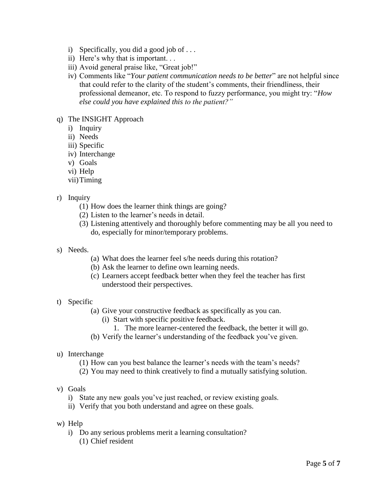- i) Specifically, you did a good job of . . .
- ii) Here's why that is important. . .
- iii) Avoid general praise like, "Great job!"
- iv) Comments like "*Your patient communication needs to be better*" are not helpful since that could refer to the clarity of the student's comments, their friendliness, their professional demeanor, etc. To respond to fuzzy performance, you might try: "*How else could you have explained this to the patient?"*
- q) The INSIGHT Approach
	- i) Inquiry
	- ii) Needs
	- iii) Specific
	- iv) Interchange
	- v) Goals
	- vi) Help
	- vii)Timing
- r) Inquiry
	- (1) How does the learner think things are going?
	- (2) Listen to the learner's needs in detail.
	- (3) Listening attentively and thoroughly before commenting may be all you need to do, especially for minor/temporary problems.
- s) Needs.
	- (a) What does the learner feel s/he needs during this rotation?
	- (b) Ask the learner to define own learning needs.
	- (c) Learners accept feedback better when they feel the teacher has first understood their perspectives.
- t) Specific
	- (a) Give your constructive feedback as specifically as you can.
		- (i) Start with specific positive feedback.
			- 1. The more learner-centered the feedback, the better it will go.
	- (b) Verify the learner's understanding of the feedback you've given.
- u) Interchange
	- (1) How can you best balance the learner's needs with the team's needs?
	- (2) You may need to think creatively to find a mutually satisfying solution.
- v) Goals
	- i) State any new goals you've just reached, or review existing goals.
	- ii) Verify that you both understand and agree on these goals.
- w) Help
	- i) Do any serious problems merit a learning consultation? (1) Chief resident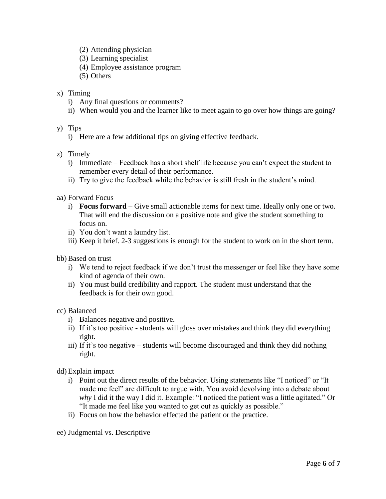- (2) Attending physician
- (3) Learning specialist
- (4) Employee assistance program
- (5) Others
- x) Timing
	- i) Any final questions or comments?
	- ii) When would you and the learner like to meet again to go over how things are going?
- y) Tips
	- i) Here are a few additional tips on giving effective feedback.
- z) Timely
	- i) Immediate Feedback has a short shelf life because you can't expect the student to remember every detail of their performance.
	- ii) Try to give the feedback while the behavior is still fresh in the student's mind.
- aa) Forward Focus
	- i) **Focus forward**  Give small actionable items for next time. Ideally only one or two. That will end the discussion on a positive note and give the student something to focus on.
	- ii) You don't want a laundry list.
	- iii) Keep it brief. 2-3 suggestions is enough for the student to work on in the short term.
- bb) Based on trust
	- i) We tend to reject feedback if we don't trust the messenger or feel like they have some kind of agenda of their own.
	- ii) You must build credibility and rapport. The student must understand that the feedback is for their own good.

#### cc) Balanced

- i) Balances negative and positive.
- ii) If it's too positive students will gloss over mistakes and think they did everything right.
- iii) If it's too negative students will become discouraged and think they did nothing right.
- dd) Explain impact
	- i) Point out the direct results of the behavior. Using statements like "I noticed" or "It made me feel" are difficult to argue with. You avoid devolving into a debate about *why* I did it the way I did it. Example: "I noticed the patient was a little agitated." Or "It made me feel like you wanted to get out as quickly as possible."
	- ii) Focus on how the behavior effected the patient or the practice.

ee) Judgmental vs. Descriptive